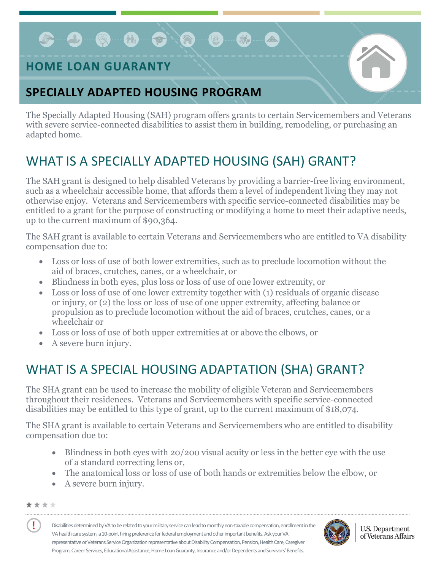# $\bullet$  0 0 0 0

### **HOME LOAN GUARANTY**

### **SPECIALLY ADAPTED HOUSING PROGRAM**

The Specially Adapted Housing (SAH) program offers grants to certain Servicemembers and Veterans with severe service-connected disabilities to assist them in building, remodeling, or purchasing an adapted home.

B.

# WHAT IS A SPECIALLY ADAPTED HOUSING (SAH) GRANT?

The SAH grant is designed to help disabled Veterans by providing a barrier-free living environment, such as a wheelchair accessible home, that affords them a level of independent living they may not otherwise enjoy. Veterans and Servicemembers with specific service-connected disabilities may be entitled to a grant for the purpose of constructing or modifying a home to meet their adaptive needs, up to the current maximum of \$90,364.

The SAH grant is available to certain Veterans and Servicemembers who are entitled to VA disability compensation due to:

- Loss or loss of use of both lower extremities, such as to preclude locomotion without the aid of braces, crutches, canes, or a wheelchair, or
- Blindness in both eyes, plus loss or loss of use of one lower extremity, or
- Loss or loss of use of one lower extremity together with (1) residuals of organic disease or injury, or (2) the loss or loss of use of one upper extremity, affecting balance or propulsion as to preclude locomotion without the aid of braces, crutches, canes, or a wheelchair or
- Loss or loss of use of both upper extremities at or above the elbows, or
- A severe burn injury.

# WHAT IS A SPECIAL HOUSING ADAPTATION (SHA) GRANT?

The SHA grant can be used to increase the mobility of eligible Veteran and Servicemembers throughout their residences. Veterans and Servicemembers with specific service-connected disabilities may be entitled to this type of grant, up to the current maximum of \$18,074.

The SHA grant is available to certain Veterans and Servicemembers who are entitled to disability compensation due to:

- Blindness in both eyes with 20/200 visual acuity or less in the better eye with the use of a standard correcting lens or,
- The anatomical loss or loss of use of both hands or extremities below the elbow, or
- A severe burn injury.

#### \*\*\*\*

Ţ

Disabilities determined by VA to be related to your military service can lead to monthly non-taxable compensation, enrollment in the VA health care system, a 10-point hiring preference for federal employment and other important benefits. Ask your VA representative or Veterans Service Organization representative about Disability Compensation, Pension, Health Care, Caregiver Program, Career Services, Educational Assistance, Home Loan Guaranty, Insurance and/or Dependents and Survivors' Benefits.